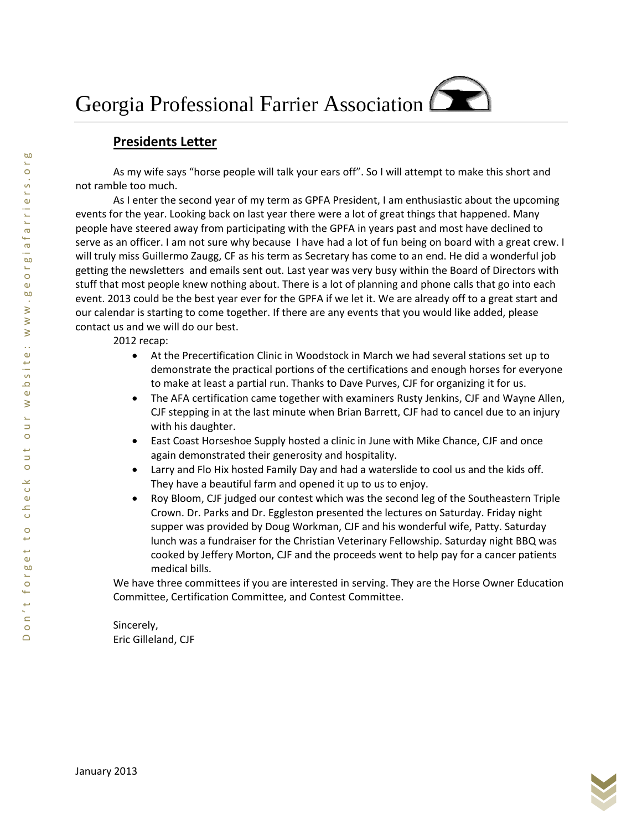## **Presidents Letter**

As my wife says "horse people will talk your ears off". So I will attempt to make this short and not ramble too much.

As I enter the second year of my term as GPFA President, I am enthusiastic about the upcoming events for the year. Looking back on last year there were a lot of great things that happened. Many people have steered away from participating with the GPFA in years past and most have declined to serve as an officer. I am not sure why because I have had a lot of fun being on board with a great crew. I will truly miss Guillermo Zaugg, CF as his term as Secretary has come to an end. He did a wonderful job getting the newsletters and emails sent out. Last year was very busy within the Board of Directors with stuff that most people knew nothing about. There is a lot of planning and phone calls that go into each event. 2013 could be the best year ever for the GPFA if we let it. We are already off to a great start and our calendar is starting to come together. If there are any events that you would like added, please contact us and we will do our best.

2012 recap:

- At the Precertification Clinic in Woodstock in March we had several stations set up to demonstrate the practical portions of the certifications and enough horses for everyone to make at least a partial run. Thanks to Dave Purves, CJF for organizing it for us.
- The AFA certification came together with examiners Rusty Jenkins, CJF and Wayne Allen, CJF stepping in at the last minute when Brian Barrett, CJF had to cancel due to an injury with his daughter.
- East Coast Horseshoe Supply hosted a clinic in June with Mike Chance, CJF and once again demonstrated their generosity and hospitality.
- Larry and Flo Hix hosted Family Day and had a waterslide to cool us and the kids off. They have a beautiful farm and opened it up to us to enjoy.
- Roy Bloom, CJF judged our contest which was the second leg of the Southeastern Triple Crown. Dr. Parks and Dr. Eggleston presented the lectures on Saturday. Friday night supper was provided by Doug Workman, CJF and his wonderful wife, Patty. Saturday lunch was a fundraiser for the Christian Veterinary Fellowship. Saturday night BBQ was cooked by Jeffery Morton, CJF and the proceeds went to help pay for a cancer patients medical bills.

We have three committees if you are interested in serving. They are the Horse Owner Education Committee, Certification Committee, and Contest Committee.

Sincerely, Eric Gilleland, CJF

**b**o Ľ,